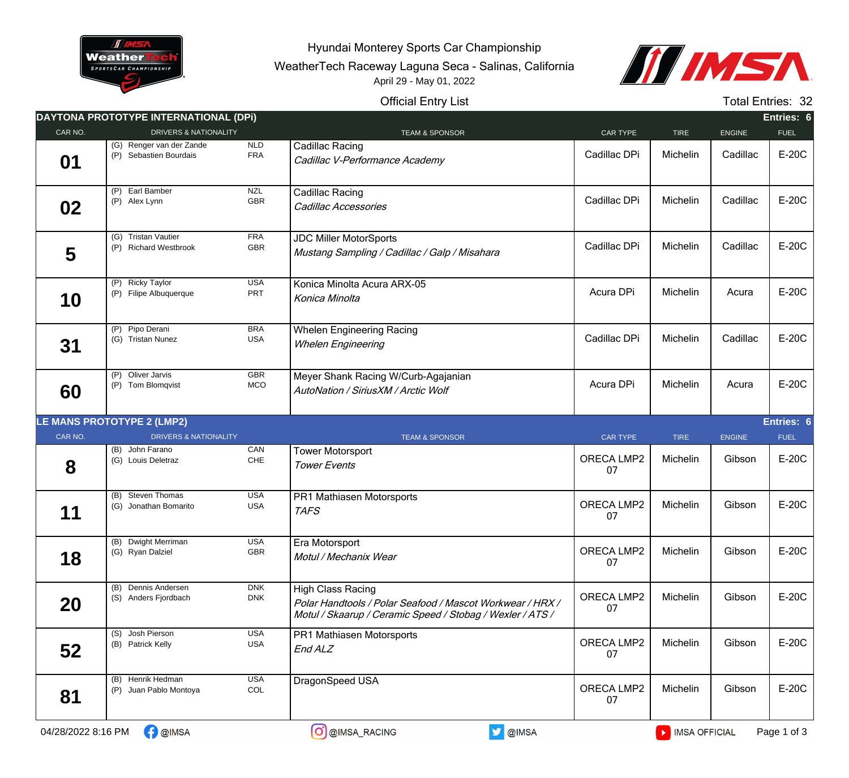

Hyundai Monterey Sports Car Championship

WeatherTech Raceway Laguna Seca - Salinas, California April 29 - May 01, 2022



## Official Entry List

Total Entries: 32

|                    | DAYTONA PROTOTYPE INTERNATIONAL (DPI)              |                          |                                                                                                                                                    |                  |               |          | Entries: 6  |
|--------------------|----------------------------------------------------|--------------------------|----------------------------------------------------------------------------------------------------------------------------------------------------|------------------|---------------|----------|-------------|
| CAR NO.            | DRIVERS & NATIONALITY                              |                          | <b>TEAM &amp; SPONSOR</b>                                                                                                                          | CAR TYPE         | <b>TIRE</b>   | ENGINE   | <b>FUEL</b> |
| 01                 | (G) Renger van der Zande<br>(P) Sebastien Bourdais | <b>NLD</b><br><b>FRA</b> | Cadillac Racing<br>Cadillac V-Performance Academy                                                                                                  | Cadillac DPi     | Michelin      | Cadillac | E-20C       |
| 02                 | (P) Earl Bamber<br>(P) Alex Lynn                   | <b>NZL</b><br>GBR        | Cadillac Racing<br>Cadillac Accessories                                                                                                            | Cadillac DPi     | Michelin      | Cadillac | E-20C       |
| 5                  | (G) Tristan Vautier<br>(P) Richard Westbrook       | <b>FRA</b><br>GBR        | <b>JDC Miller MotorSports</b><br>Mustang Sampling / Cadillac / Galp / Misahara                                                                     | Cadillac DPi     | Michelin      | Cadillac | E-20C       |
| 10                 | (P) Ricky Taylor<br>(P) Filipe Albuquerque         | <b>USA</b><br>PRT        | Konica Minolta Acura ARX-05<br>Konica Minolta                                                                                                      | Acura DPi        | Michelin      | Acura    | E-20C       |
| 31                 | (P) Pipo Derani<br>(G) Tristan Nunez               | <b>BRA</b><br><b>USA</b> | <b>Whelen Engineering Racing</b><br><b>Whelen Engineering</b>                                                                                      | Cadillac DPi     | Michelin      | Cadillac | E-20C       |
| 60                 | (P) Oliver Jarvis<br>(P) Tom Blomqvist             | <b>GBR</b><br>MCO        | Meyer Shank Racing W/Curb-Agajanian<br>AutoNation / SiriusXM / Arctic Wolf                                                                         | Acura DPi        | Michelin      | Acura    | E-20C       |
|                    | LE MANS PROTOTYPE 2 (LMP2)                         |                          |                                                                                                                                                    |                  |               |          | Entries: 6  |
| CAR NO.            | <b>DRIVERS &amp; NATIONALITY</b>                   |                          | <b>TEAM &amp; SPONSOR</b>                                                                                                                          | CAR TYPE         | <b>TIRE</b>   | ENGINE   | <b>FUEL</b> |
| 8                  | (B) John Farano<br>(G) Louis Deletraz              | CAN<br>${\sf CHE}$       | <b>Tower Motorsport</b><br><b>Tower Events</b>                                                                                                     | ORECA LMP2<br>07 | Michelin      | Gibson   | E-20C       |
| 11                 | (B) Steven Thomas<br>(G) Jonathan Bomarito         | <b>USA</b><br><b>USA</b> | PR1 Mathiasen Motorsports<br><b>TAFS</b>                                                                                                           | ORECA LMP2<br>07 | Michelin      | Gibson   | E-20C       |
| 18                 | (B) Dwight Merriman<br>(G) Ryan Dalziel            | <b>USA</b><br>GBR        | Era Motorsport<br>Motul / Mechanix Wear                                                                                                            | ORECA LMP2<br>07 | Michelin      | Gibson   | E-20C       |
| 20                 | (B) Dennis Andersen<br>(S) Anders Fjordbach        | <b>DNK</b><br><b>DNK</b> | <b>High Class Racing</b><br>Polar Handtools / Polar Seafood / Mascot Workwear / HRX /<br>Motul / Skaarup / Ceramic Speed / Stobag / Wexler / ATS / | ORECA LMP2<br>07 | Michelin      | Gibson   | E-20C       |
| 52                 | (S) Josh Pierson<br>(B) Patrick Kelly              | <b>USA</b><br><b>USA</b> | PR1 Mathiasen Motorsports<br>End ALZ                                                                                                               | ORECA LMP2<br>07 | Michelin      | Gibson   | E-20C       |
| 81                 | (B) Henrik Hedman<br>(P) Juan Pablo Montoya        | <b>USA</b><br>COL        | DragonSpeed USA                                                                                                                                    | ORECA LMP2<br>07 | Michelin      | Gibson   | E-20C       |
| 04/28/2022 8:16 PM | <b>B</b> @IMSA                                     |                          | OIMSA<br>O @IMSA_RACING                                                                                                                            |                  | MISA OFFICIAL |          | Page 1 of 3 |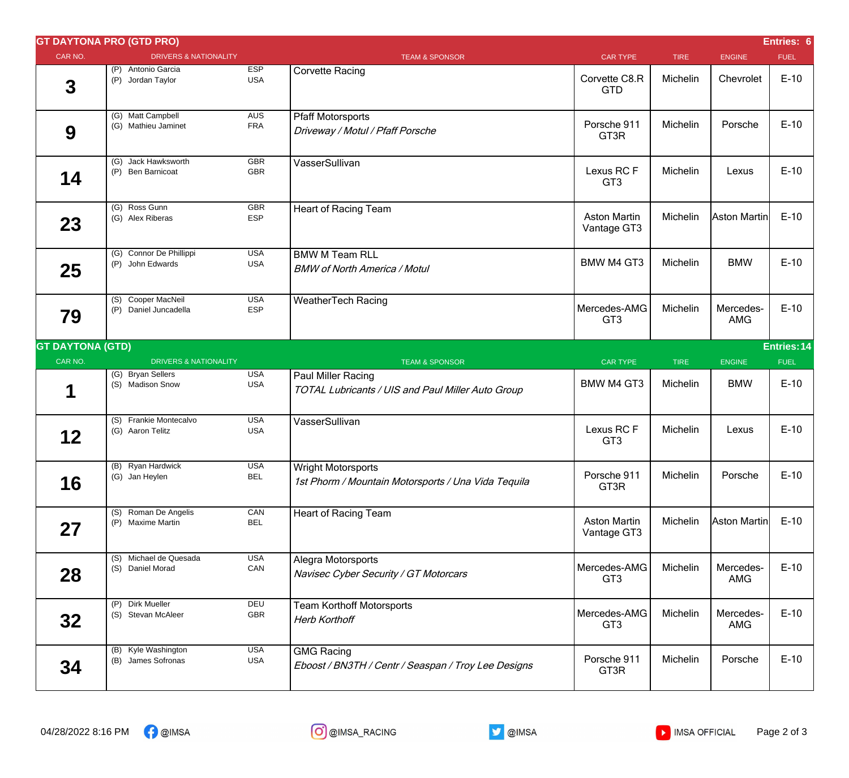|                         | <b>GT DAYTONA PRO (GTD PRO)</b>             |                          |                                                                                  |                                    |             |                         | Entries: 6  |
|-------------------------|---------------------------------------------|--------------------------|----------------------------------------------------------------------------------|------------------------------------|-------------|-------------------------|-------------|
| CAR NO.                 | <b>DRIVERS &amp; NATIONALITY</b>            |                          | <b>TEAM &amp; SPONSOR</b>                                                        | <b>CAR TYPE</b>                    | <b>TIRE</b> | <b>ENGINE</b>           | <b>FUEL</b> |
| $\mathbf 3$             | (P) Antonio Garcia<br>(P) Jordan Taylor     | <b>ESP</b><br><b>USA</b> | <b>Corvette Racing</b>                                                           | Corvette C8.R<br><b>GTD</b>        | Michelin    | Chevrolet               | $E-10$      |
| 9                       | (G) Matt Campbell<br>(G) Mathieu Jaminet    | AUS<br><b>FRA</b>        | <b>Pfaff Motorsports</b><br>Driveway / Motul / Pfaff Porsche                     | Porsche 911<br>GT3R                | Michelin    | Porsche                 | $E-10$      |
| 14                      | (G) Jack Hawksworth<br>(P) Ben Barnicoat    | <b>GBR</b><br><b>GBR</b> | VasserSullivan                                                                   | Lexus RC F<br>GT <sub>3</sub>      | Michelin    | Lexus                   | $E-10$      |
| 23                      | (G) Ross Gunn<br>(G) Alex Riberas           | <b>GBR</b><br><b>ESP</b> | <b>Heart of Racing Team</b>                                                      | <b>Aston Martin</b><br>Vantage GT3 | Michelin    | Aston Martin            | $E-10$      |
| 25                      | (G) Connor De Phillippi<br>(P) John Edwards | <b>USA</b><br><b>USA</b> | <b>BMW M Team RLL</b><br><b>BMW of North America / Motul</b>                     | <b>BMW M4 GT3</b>                  | Michelin    | <b>BMW</b>              | $E-10$      |
| 79                      | (S) Cooper MacNeil<br>(P) Daniel Juncadella | <b>USA</b><br><b>ESP</b> | <b>WeatherTech Racing</b>                                                        | Mercedes-AMG<br>GT <sub>3</sub>    | Michelin    | Mercedes-<br><b>AMG</b> | $E-10$      |
| <b>GT DAYTONA (GTD)</b> |                                             |                          |                                                                                  |                                    |             |                         | Entries: 14 |
| CAR NO.                 | <b>DRIVERS &amp; NATIONALITY</b>            |                          | <b>TEAM &amp; SPONSOR</b>                                                        | <b>CAR TYPE</b>                    | <b>TIRE</b> | <b>ENGINE</b>           | <b>FUEL</b> |
| 1                       | (G) Bryan Sellers<br>(S) Madison Snow       | <b>USA</b><br><b>USA</b> | Paul Miller Racing<br>TOTAL Lubricants / UIS and Paul Miller Auto Group          | <b>BMW M4 GT3</b>                  | Michelin    | <b>BMW</b>              | $E-10$      |
| 12                      | (S) Frankie Montecalvo<br>(G) Aaron Telitz  | <b>USA</b><br><b>USA</b> | VasserSullivan                                                                   | Lexus RCF<br>GT <sub>3</sub>       | Michelin    | Lexus                   | $E-10$      |
| 16                      | (B) Ryan Hardwick<br>(G) Jan Heylen         | <b>USA</b><br><b>BEL</b> | <b>Wright Motorsports</b><br>1st Phorm / Mountain Motorsports / Una Vida Tequila | Porsche 911<br>GT3R                | Michelin    | Porsche                 | $E-10$      |
| 27                      | (S) Roman De Angelis<br>(P) Maxime Martin   | CAN<br><b>BEL</b>        | <b>Heart of Racing Team</b>                                                      | <b>Aston Martin</b><br>Vantage GT3 | Michelin    | Aston Martin            | $E-10$      |
| 28                      | (S) Michael de Quesada<br>(S) Daniel Morad  | <b>USA</b><br>CAN        | Alegra Motorsports<br>Navisec Cyber Security / GT Motorcars                      | Mercedes-AMG<br>GT <sub>3</sub>    | Michelin    | Mercedes-<br>AMG        | $E-10$      |
| 32                      | (P) Dirk Mueller<br>(S) Stevan McAleer      | DEU<br><b>GBR</b>        | <b>Team Korthoff Motorsports</b><br><b>Herb Korthoff</b>                         | Mercedes-AMG<br>GT <sub>3</sub>    | Michelin    | Mercedes-<br>AMG        | $E-10$      |
| 34                      | (B) Kyle Washington<br>(B) James Sofronas   | <b>USA</b><br><b>USA</b> | <b>GMG Racing</b><br>Eboost / BN3TH / Centr / Seaspan / Troy Lee Designs         | Porsche 911<br>GT3R                | Michelin    | Porsche                 | $E-10$      |